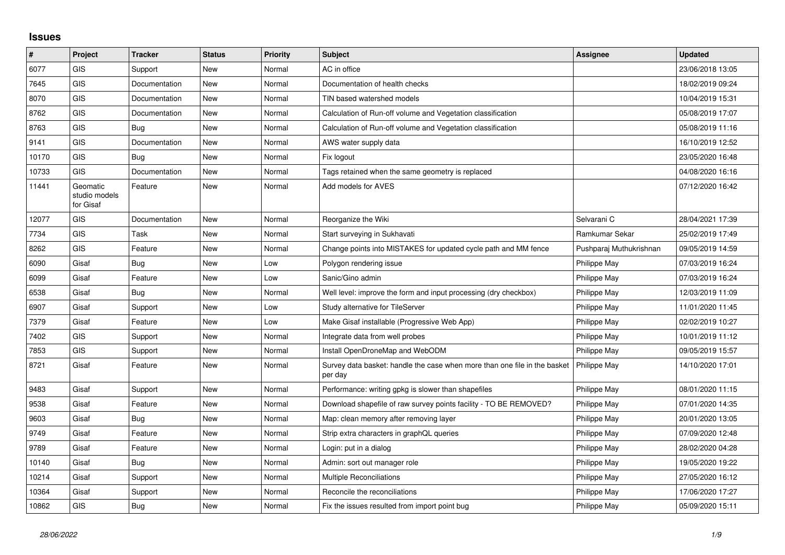## **Issues**

| #     | Project                                | <b>Tracker</b> | <b>Status</b> | <b>Priority</b> | <b>Subject</b>                                                                       | Assignee                | <b>Updated</b>   |
|-------|----------------------------------------|----------------|---------------|-----------------|--------------------------------------------------------------------------------------|-------------------------|------------------|
| 6077  | GIS                                    | Support        | <b>New</b>    | Normal          | AC in office                                                                         |                         | 23/06/2018 13:05 |
| 7645  | GIS                                    | Documentation  | <b>New</b>    | Normal          | Documentation of health checks                                                       |                         | 18/02/2019 09:24 |
| 8070  | <b>GIS</b>                             | Documentation  | <b>New</b>    | Normal          | TIN based watershed models                                                           |                         | 10/04/2019 15:31 |
| 8762  | GIS                                    | Documentation  | <b>New</b>    | Normal          | Calculation of Run-off volume and Vegetation classification                          |                         | 05/08/2019 17:07 |
| 8763  | GIS                                    | <b>Bug</b>     | <b>New</b>    | Normal          | Calculation of Run-off volume and Vegetation classification                          |                         | 05/08/2019 11:16 |
| 9141  | <b>GIS</b>                             | Documentation  | New           | Normal          | AWS water supply data                                                                |                         | 16/10/2019 12:52 |
| 10170 | <b>GIS</b>                             | Bug            | <b>New</b>    | Normal          | Fix logout                                                                           |                         | 23/05/2020 16:48 |
| 10733 | GIS                                    | Documentation  | New           | Normal          | Tags retained when the same geometry is replaced                                     |                         | 04/08/2020 16:16 |
| 11441 | Geomatic<br>studio models<br>for Gisaf | Feature        | <b>New</b>    | Normal          | Add models for AVES                                                                  |                         | 07/12/2020 16:42 |
| 12077 | GIS                                    | Documentation  | <b>New</b>    | Normal          | Reorganize the Wiki                                                                  | Selvarani C             | 28/04/2021 17:39 |
| 7734  | GIS                                    | Task           | <b>New</b>    | Normal          | Start surveying in Sukhavati                                                         | Ramkumar Sekar          | 25/02/2019 17:49 |
| 8262  | <b>GIS</b>                             | Feature        | New           | Normal          | Change points into MISTAKES for updated cycle path and MM fence                      | Pushparaj Muthukrishnan | 09/05/2019 14:59 |
| 6090  | Gisaf                                  | <b>Bug</b>     | <b>New</b>    | Low             | Polygon rendering issue                                                              | Philippe May            | 07/03/2019 16:24 |
| 6099  | Gisaf                                  | Feature        | New           | Low             | Sanic/Gino admin                                                                     | Philippe May            | 07/03/2019 16:24 |
| 6538  | Gisaf                                  | Bug            | <b>New</b>    | Normal          | Well level: improve the form and input processing (dry checkbox)                     | <b>Philippe May</b>     | 12/03/2019 11:09 |
| 6907  | Gisaf                                  | Support        | <b>New</b>    | Low             | Study alternative for TileServer                                                     | Philippe May            | 11/01/2020 11:45 |
| 7379  | Gisaf                                  | Feature        | New           | Low             | Make Gisaf installable (Progressive Web App)                                         | Philippe May            | 02/02/2019 10:27 |
| 7402  | GIS                                    | Support        | <b>New</b>    | Normal          | Integrate data from well probes                                                      | Philippe May            | 10/01/2019 11:12 |
| 7853  | <b>GIS</b>                             | Support        | <b>New</b>    | Normal          | Install OpenDroneMap and WebODM                                                      | Philippe May            | 09/05/2019 15:57 |
| 8721  | Gisaf                                  | Feature        | <b>New</b>    | Normal          | Survey data basket: handle the case when more than one file in the basket<br>per day | Philippe May            | 14/10/2020 17:01 |
| 9483  | Gisaf                                  | Support        | <b>New</b>    | Normal          | Performance: writing gpkg is slower than shapefiles                                  | Philippe May            | 08/01/2020 11:15 |
| 9538  | Gisaf                                  | Feature        | <b>New</b>    | Normal          | Download shapefile of raw survey points facility - TO BE REMOVED?                    | Philippe May            | 07/01/2020 14:35 |
| 9603  | Gisaf                                  | <b>Bug</b>     | <b>New</b>    | Normal          | Map: clean memory after removing layer                                               | Philippe May            | 20/01/2020 13:05 |
| 9749  | Gisaf                                  | Feature        | New           | Normal          | Strip extra characters in graphQL queries                                            | Philippe May            | 07/09/2020 12:48 |
| 9789  | Gisaf                                  | Feature        | New           | Normal          | Login: put in a dialog                                                               | Philippe May            | 28/02/2020 04:28 |
| 10140 | Gisaf                                  | Bug            | New           | Normal          | Admin: sort out manager role                                                         | Philippe May            | 19/05/2020 19:22 |
| 10214 | Gisaf                                  | Support        | New           | Normal          | <b>Multiple Reconciliations</b>                                                      | Philippe May            | 27/05/2020 16:12 |
| 10364 | Gisaf                                  | Support        | New           | Normal          | Reconcile the reconciliations                                                        | Philippe May            | 17/06/2020 17:27 |
| 10862 | GIS                                    | <b>Bug</b>     | New           | Normal          | Fix the issues resulted from import point bug                                        | Philippe May            | 05/09/2020 15:11 |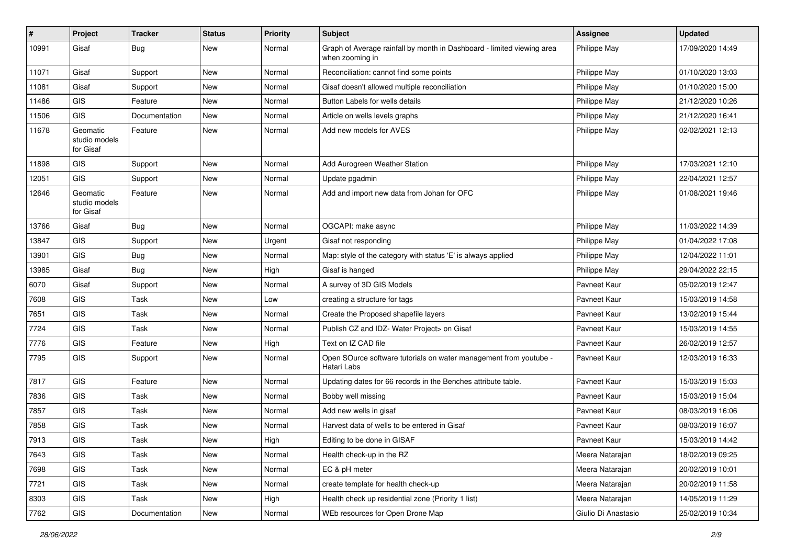| #     | Project                                | <b>Tracker</b> | <b>Status</b> | <b>Priority</b> | <b>Subject</b>                                                                            | Assignee            | <b>Updated</b>   |
|-------|----------------------------------------|----------------|---------------|-----------------|-------------------------------------------------------------------------------------------|---------------------|------------------|
| 10991 | Gisaf                                  | Bug            | New           | Normal          | Graph of Average rainfall by month in Dashboard - limited viewing area<br>when zooming in | Philippe May        | 17/09/2020 14:49 |
| 11071 | Gisaf                                  | Support        | <b>New</b>    | Normal          | Reconciliation: cannot find some points                                                   | Philippe May        | 01/10/2020 13:03 |
| 11081 | Gisaf                                  | Support        | New           | Normal          | Gisaf doesn't allowed multiple reconciliation                                             | Philippe May        | 01/10/2020 15:00 |
| 11486 | <b>GIS</b>                             | Feature        | New           | Normal          | Button Labels for wells details                                                           | Philippe May        | 21/12/2020 10:26 |
| 11506 | GIS                                    | Documentation  | New           | Normal          | Article on wells levels graphs                                                            | Philippe May        | 21/12/2020 16:41 |
| 11678 | Geomatic<br>studio models<br>for Gisaf | Feature        | New           | Normal          | Add new models for AVES                                                                   | Philippe May        | 02/02/2021 12:13 |
| 11898 | GIS                                    | Support        | New           | Normal          | Add Aurogreen Weather Station                                                             | Philippe May        | 17/03/2021 12:10 |
| 12051 | <b>GIS</b>                             | Support        | New           | Normal          | Update pgadmin                                                                            | Philippe May        | 22/04/2021 12:57 |
| 12646 | Geomatic<br>studio models<br>for Gisaf | Feature        | New           | Normal          | Add and import new data from Johan for OFC                                                | Philippe May        | 01/08/2021 19:46 |
| 13766 | Gisaf                                  | Bug            | <b>New</b>    | Normal          | OGCAPI: make async                                                                        | Philippe May        | 11/03/2022 14:39 |
| 13847 | <b>GIS</b>                             | Support        | New           | Urgent          | Gisaf not responding                                                                      | Philippe May        | 01/04/2022 17:08 |
| 13901 | <b>GIS</b>                             | Bug            | New           | Normal          | Map: style of the category with status 'E' is always applied                              | Philippe May        | 12/04/2022 11:01 |
| 13985 | Gisaf                                  | Bug            | New           | High            | Gisaf is hanged                                                                           | Philippe May        | 29/04/2022 22:15 |
| 6070  | Gisaf                                  | Support        | New           | Normal          | A survey of 3D GIS Models                                                                 | Pavneet Kaur        | 05/02/2019 12:47 |
| 7608  | GIS                                    | Task           | New           | Low             | creating a structure for tags                                                             | Pavneet Kaur        | 15/03/2019 14:58 |
| 7651  | <b>GIS</b>                             | Task           | <b>New</b>    | Normal          | Create the Proposed shapefile layers                                                      | Payneet Kaur        | 13/02/2019 15:44 |
| 7724  | GIS                                    | Task           | New           | Normal          | Publish CZ and IDZ- Water Project> on Gisaf                                               | Pavneet Kaur        | 15/03/2019 14:55 |
| 7776  | GIS                                    | Feature        | <b>New</b>    | High            | Text on IZ CAD file                                                                       | Pavneet Kaur        | 26/02/2019 12:57 |
| 7795  | <b>GIS</b>                             | Support        | New           | Normal          | Open SOurce software tutorials on water management from youtube -<br>Hatari Labs          | Pavneet Kaur        | 12/03/2019 16:33 |
| 7817  | GIS                                    | Feature        | New           | Normal          | Updating dates for 66 records in the Benches attribute table.                             | Pavneet Kaur        | 15/03/2019 15:03 |
| 7836  | GIS                                    | Task           | New           | Normal          | Bobby well missing                                                                        | Pavneet Kaur        | 15/03/2019 15:04 |
| 7857  | GIS                                    | Task           | New           | Normal          | Add new wells in gisaf                                                                    | Pavneet Kaur        | 08/03/2019 16:06 |
| 7858  | <b>GIS</b>                             | Task           | New           | Normal          | Harvest data of wells to be entered in Gisaf                                              | Pavneet Kaur        | 08/03/2019 16:07 |
| 7913  | GIS                                    | Task           | New           | High            | Editing to be done in GISAF                                                               | Pavneet Kaur        | 15/03/2019 14:42 |
| 7643  | GIS                                    | Task           | New           | Normal          | Health check-up in the RZ                                                                 | Meera Natarajan     | 18/02/2019 09:25 |
| 7698  | GIS                                    | Task           | New           | Normal          | EC & pH meter                                                                             | Meera Natarajan     | 20/02/2019 10:01 |
| 7721  | GIS                                    | Task           | New           | Normal          | create template for health check-up                                                       | Meera Natarajan     | 20/02/2019 11:58 |
| 8303  | GIS                                    | Task           | New           | High            | Health check up residential zone (Priority 1 list)                                        | Meera Natarajan     | 14/05/2019 11:29 |
| 7762  | GIS                                    | Documentation  | New           | Normal          | WEb resources for Open Drone Map                                                          | Giulio Di Anastasio | 25/02/2019 10:34 |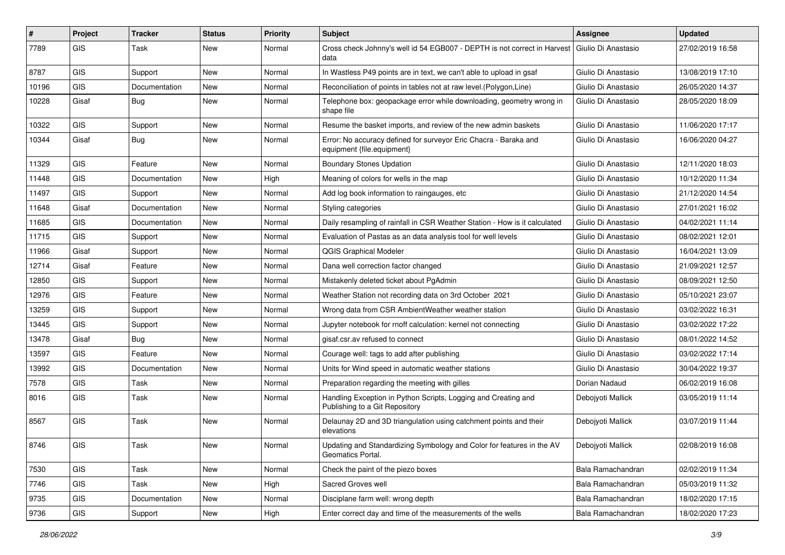| #     | Project                     | <b>Tracker</b> | <b>Status</b> | <b>Priority</b> | <b>Subject</b>                                                                                       | Assignee            | <b>Updated</b>   |
|-------|-----------------------------|----------------|---------------|-----------------|------------------------------------------------------------------------------------------------------|---------------------|------------------|
| 7789  | GIS                         | Task           | <b>New</b>    | Normal          | Cross check Johnny's well id 54 EGB007 - DEPTH is not correct in Harvest Giulio Di Anastasio<br>data |                     | 27/02/2019 16:58 |
| 8787  | GIS                         | Support        | <b>New</b>    | Normal          | In Wastless P49 points are in text, we can't able to upload in gsaf                                  | Giulio Di Anastasio | 13/08/2019 17:10 |
| 10196 | GIS                         | Documentation  | New           | Normal          | Reconciliation of points in tables not at raw level. (Polygon, Line)                                 | Giulio Di Anastasio | 26/05/2020 14:37 |
| 10228 | Gisaf                       | Bug            | <b>New</b>    | Normal          | Telephone box: geopackage error while downloading, geometry wrong in<br>shape file                   | Giulio Di Anastasio | 28/05/2020 18:09 |
| 10322 | <b>GIS</b>                  | Support        | <b>New</b>    | Normal          | Resume the basket imports, and review of the new admin baskets                                       | Giulio Di Anastasio | 11/06/2020 17:17 |
| 10344 | Gisaf                       | Bug            | <b>New</b>    | Normal          | Error: No accuracy defined for surveyor Eric Chacra - Baraka and<br>equipment {file.equipment}       | Giulio Di Anastasio | 16/06/2020 04:27 |
| 11329 | GIS                         | Feature        | <b>New</b>    | Normal          | <b>Boundary Stones Updation</b>                                                                      | Giulio Di Anastasio | 12/11/2020 18:03 |
| 11448 | <b>GIS</b>                  | Documentation  | <b>New</b>    | High            | Meaning of colors for wells in the map                                                               | Giulio Di Anastasio | 10/12/2020 11:34 |
| 11497 | <b>GIS</b>                  | Support        | <b>New</b>    | Normal          | Add log book information to raingauges, etc.                                                         | Giulio Di Anastasio | 21/12/2020 14:54 |
| 11648 | Gisaf                       | Documentation  | <b>New</b>    | Normal          | Styling categories                                                                                   | Giulio Di Anastasio | 27/01/2021 16:02 |
| 11685 | GIS                         | Documentation  | <b>New</b>    | Normal          | Daily resampling of rainfall in CSR Weather Station - How is it calculated                           | Giulio Di Anastasio | 04/02/2021 11:14 |
| 11715 | <b>GIS</b>                  | Support        | <b>New</b>    | Normal          | Evaluation of Pastas as an data analysis tool for well levels                                        | Giulio Di Anastasio | 08/02/2021 12:01 |
| 11966 | Gisaf                       | Support        | <b>New</b>    | Normal          | <b>QGIS Graphical Modeler</b>                                                                        | Giulio Di Anastasio | 16/04/2021 13:09 |
| 12714 | Gisaf                       | Feature        | <b>New</b>    | Normal          | Dana well correction factor changed                                                                  | Giulio Di Anastasio | 21/09/2021 12:57 |
| 12850 | <b>GIS</b>                  | Support        | New           | Normal          | Mistakenly deleted ticket about PgAdmin                                                              | Giulio Di Anastasio | 08/09/2021 12:50 |
| 12976 | <b>GIS</b>                  | Feature        | <b>New</b>    | Normal          | Weather Station not recording data on 3rd October 2021                                               | Giulio Di Anastasio | 05/10/2021 23:07 |
| 13259 | GIS                         | Support        | <b>New</b>    | Normal          | Wrong data from CSR AmbientWeather weather station                                                   | Giulio Di Anastasio | 03/02/2022 16:31 |
| 13445 | <b>GIS</b>                  | Support        | <b>New</b>    | Normal          | Jupyter notebook for rnoff calculation: kernel not connecting                                        | Giulio Di Anastasio | 03/02/2022 17:22 |
| 13478 | Gisaf                       | Bug            | <b>New</b>    | Normal          | gisaf.csr.av refused to connect                                                                      | Giulio Di Anastasio | 08/01/2022 14:52 |
| 13597 | GIS                         | Feature        | <b>New</b>    | Normal          | Courage well: tags to add after publishing                                                           | Giulio Di Anastasio | 03/02/2022 17:14 |
| 13992 | <b>GIS</b>                  | Documentation  | <b>New</b>    | Normal          | Units for Wind speed in automatic weather stations                                                   | Giulio Di Anastasio | 30/04/2022 19:37 |
| 7578  | GIS                         | Task           | New           | Normal          | Preparation regarding the meeting with gilles                                                        | Dorian Nadaud       | 06/02/2019 16:08 |
| 8016  | GIS                         | Task           | <b>New</b>    | Normal          | Handling Exception in Python Scripts, Logging and Creating and<br>Publishing to a Git Repository     | Debojyoti Mallick   | 03/05/2019 11:14 |
| 8567  | <b>GIS</b>                  | Task           | <b>New</b>    | Normal          | Delaunay 2D and 3D triangulation using catchment points and their<br>elevations                      | Debojyoti Mallick   | 03/07/2019 11:44 |
| 8746  | $\ensuremath{\mathsf{GIS}}$ | Task           | New           | Normal          | Updating and Standardizing Symbology and Color for features in the AV<br>Geomatics Portal.           | Debojyoti Mallick   | 02/08/2019 16:08 |
| 7530  | GIS                         | Task           | New           | Normal          | Check the paint of the piezo boxes                                                                   | Bala Ramachandran   | 02/02/2019 11:34 |
| 7746  | GIS                         | Task           | New           | High            | Sacred Groves well                                                                                   | Bala Ramachandran   | 05/03/2019 11:32 |
| 9735  | GIS                         | Documentation  | New           | Normal          | Disciplane farm well: wrong depth                                                                    | Bala Ramachandran   | 18/02/2020 17:15 |
| 9736  | GIS                         | Support        | New           | High            | Enter correct day and time of the measurements of the wells                                          | Bala Ramachandran   | 18/02/2020 17:23 |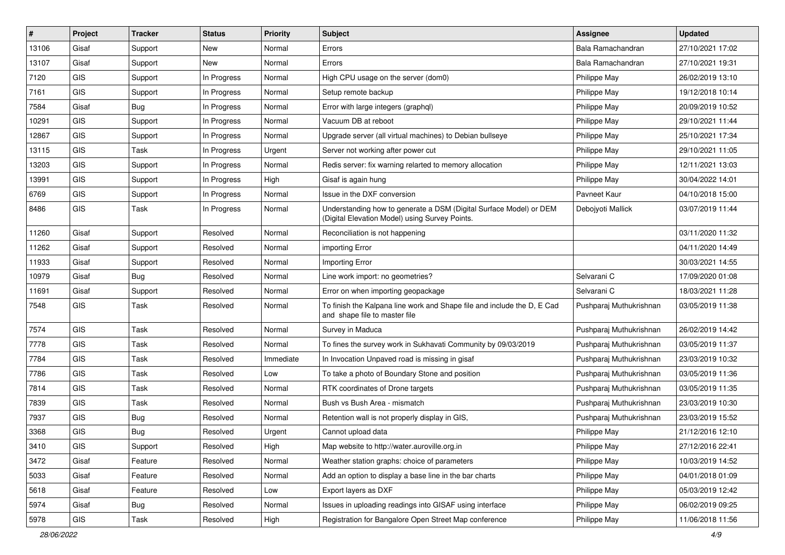| #     | Project    | <b>Tracker</b> | <b>Status</b> | Priority  | <b>Subject</b>                                                                                                       | <b>Assignee</b>         | <b>Updated</b>   |
|-------|------------|----------------|---------------|-----------|----------------------------------------------------------------------------------------------------------------------|-------------------------|------------------|
| 13106 | Gisaf      | Support        | New           | Normal    | Errors                                                                                                               | Bala Ramachandran       | 27/10/2021 17:02 |
| 13107 | Gisaf      | Support        | New           | Normal    | Errors                                                                                                               | Bala Ramachandran       | 27/10/2021 19:31 |
| 7120  | <b>GIS</b> | Support        | In Progress   | Normal    | High CPU usage on the server (dom0)                                                                                  | Philippe May            | 26/02/2019 13:10 |
| 7161  | GIS        | Support        | In Progress   | Normal    | Setup remote backup                                                                                                  | Philippe May            | 19/12/2018 10:14 |
| 7584  | Gisaf      | Bug            | In Progress   | Normal    | Error with large integers (graphgl)                                                                                  | Philippe May            | 20/09/2019 10:52 |
| 10291 | <b>GIS</b> | Support        | In Progress   | Normal    | Vacuum DB at reboot                                                                                                  | Philippe May            | 29/10/2021 11:44 |
| 12867 | GIS        | Support        | In Progress   | Normal    | Upgrade server (all virtual machines) to Debian bullseye                                                             | Philippe May            | 25/10/2021 17:34 |
| 13115 | GIS        | Task           | In Progress   | Urgent    | Server not working after power cut                                                                                   | Philippe May            | 29/10/2021 11:05 |
| 13203 | GIS        | Support        | In Progress   | Normal    | Redis server: fix warning relarted to memory allocation                                                              | Philippe May            | 12/11/2021 13:03 |
| 13991 | GIS        | Support        | In Progress   | High      | Gisaf is again hung                                                                                                  | Philippe May            | 30/04/2022 14:01 |
| 6769  | GIS        | Support        | In Progress   | Normal    | Issue in the DXF conversion                                                                                          | Pavneet Kaur            | 04/10/2018 15:00 |
| 8486  | GIS        | Task           | In Progress   | Normal    | Understanding how to generate a DSM (Digital Surface Model) or DEM<br>(Digital Elevation Model) using Survey Points. | Deboivoti Mallick       | 03/07/2019 11:44 |
| 11260 | Gisaf      | Support        | Resolved      | Normal    | Reconciliation is not happening                                                                                      |                         | 03/11/2020 11:32 |
| 11262 | Gisaf      | Support        | Resolved      | Normal    | importing Error                                                                                                      |                         | 04/11/2020 14:49 |
| 11933 | Gisaf      | Support        | Resolved      | Normal    | Importing Error                                                                                                      |                         | 30/03/2021 14:55 |
| 10979 | Gisaf      | Bug            | Resolved      | Normal    | Line work import: no geometries?                                                                                     | Selvarani C             | 17/09/2020 01:08 |
| 11691 | Gisaf      | Support        | Resolved      | Normal    | Error on when importing geopackage                                                                                   | Selvarani C             | 18/03/2021 11:28 |
| 7548  | <b>GIS</b> | Task           | Resolved      | Normal    | To finish the Kalpana line work and Shape file and include the D, E Cad<br>and shape file to master file             | Pushparaj Muthukrishnan | 03/05/2019 11:38 |
| 7574  | GIS        | Task           | Resolved      | Normal    | Survey in Maduca                                                                                                     | Pushparaj Muthukrishnan | 26/02/2019 14:42 |
| 7778  | GIS        | Task           | Resolved      | Normal    | To fines the survey work in Sukhavati Community by 09/03/2019                                                        | Pushparaj Muthukrishnan | 03/05/2019 11:37 |
| 7784  | <b>GIS</b> | Task           | Resolved      | Immediate | In Invocation Unpaved road is missing in gisaf                                                                       | Pushparaj Muthukrishnan | 23/03/2019 10:32 |
| 7786  | <b>GIS</b> | Task           | Resolved      | Low       | To take a photo of Boundary Stone and position                                                                       | Pushparaj Muthukrishnan | 03/05/2019 11:36 |
| 7814  | GIS        | Task           | Resolved      | Normal    | RTK coordinates of Drone targets                                                                                     | Pushparaj Muthukrishnan | 03/05/2019 11:35 |
| 7839  | GIS        | Task           | Resolved      | Normal    | Bush vs Bush Area - mismatch                                                                                         | Pushparaj Muthukrishnan | 23/03/2019 10:30 |
| 7937  | <b>GIS</b> | <b>Bug</b>     | Resolved      | Normal    | Retention wall is not properly display in GIS,                                                                       | Pushparaj Muthukrishnan | 23/03/2019 15:52 |
| 3368  | GIS        | <b>Bug</b>     | Resolved      | Urgent    | Cannot upload data                                                                                                   | Philippe May            | 21/12/2016 12:10 |
| 3410  | GIS        | Support        | Resolved      | High      | Map website to http://water.auroville.org.in                                                                         | Philippe May            | 27/12/2016 22:41 |
| 3472  | Gisaf      | Feature        | Resolved      | Normal    | Weather station graphs: choice of parameters                                                                         | Philippe May            | 10/03/2019 14:52 |
| 5033  | Gisaf      | Feature        | Resolved      | Normal    | Add an option to display a base line in the bar charts                                                               | Philippe May            | 04/01/2018 01:09 |
| 5618  | Gisaf      | Feature        | Resolved      | Low       | Export layers as DXF                                                                                                 | Philippe May            | 05/03/2019 12:42 |
| 5974  | Gisaf      | <b>Bug</b>     | Resolved      | Normal    | Issues in uploading readings into GISAF using interface                                                              | Philippe May            | 06/02/2019 09:25 |
| 5978  | GIS        | Task           | Resolved      | High      | Registration for Bangalore Open Street Map conference                                                                | Philippe May            | 11/06/2018 11:56 |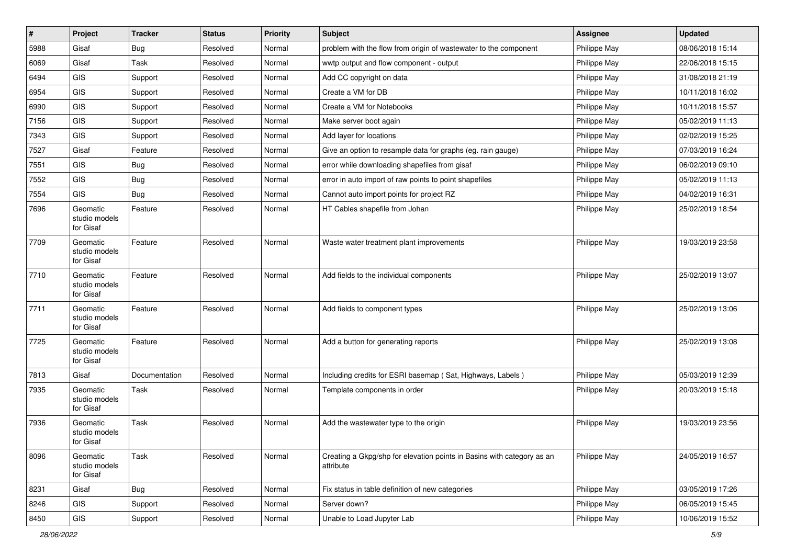| $\vert$ # | Project                                | <b>Tracker</b> | <b>Status</b> | <b>Priority</b> | Subject                                                                             | <b>Assignee</b> | <b>Updated</b>   |
|-----------|----------------------------------------|----------------|---------------|-----------------|-------------------------------------------------------------------------------------|-----------------|------------------|
| 5988      | Gisaf                                  | <b>Bug</b>     | Resolved      | Normal          | problem with the flow from origin of wastewater to the component                    | Philippe May    | 08/06/2018 15:14 |
| 6069      | Gisaf                                  | Task           | Resolved      | Normal          | wwtp output and flow component - output                                             | Philippe May    | 22/06/2018 15:15 |
| 6494      | GIS                                    | Support        | Resolved      | Normal          | Add CC copyright on data                                                            | Philippe May    | 31/08/2018 21:19 |
| 6954      | GIS                                    | Support        | Resolved      | Normal          | Create a VM for DB                                                                  | Philippe May    | 10/11/2018 16:02 |
| 6990      | GIS                                    | Support        | Resolved      | Normal          | Create a VM for Notebooks                                                           | Philippe May    | 10/11/2018 15:57 |
| 7156      | <b>GIS</b>                             | Support        | Resolved      | Normal          | Make server boot again                                                              | Philippe May    | 05/02/2019 11:13 |
| 7343      | GIS                                    | Support        | Resolved      | Normal          | Add layer for locations                                                             | Philippe May    | 02/02/2019 15:25 |
| 7527      | Gisaf                                  | Feature        | Resolved      | Normal          | Give an option to resample data for graphs (eg. rain gauge)                         | Philippe May    | 07/03/2019 16:24 |
| 7551      | GIS                                    | Bug            | Resolved      | Normal          | error while downloading shapefiles from gisaf                                       | Philippe May    | 06/02/2019 09:10 |
| 7552      | GIS                                    | Bug            | Resolved      | Normal          | error in auto import of raw points to point shapefiles                              | Philippe May    | 05/02/2019 11:13 |
| 7554      | <b>GIS</b>                             | Bug            | Resolved      | Normal          | Cannot auto import points for project RZ                                            | Philippe May    | 04/02/2019 16:31 |
| 7696      | Geomatic<br>studio models<br>for Gisaf | Feature        | Resolved      | Normal          | HT Cables shapefile from Johan                                                      | Philippe May    | 25/02/2019 18:54 |
| 7709      | Geomatic<br>studio models<br>for Gisaf | Feature        | Resolved      | Normal          | Waste water treatment plant improvements                                            | Philippe May    | 19/03/2019 23:58 |
| 7710      | Geomatic<br>studio models<br>for Gisaf | Feature        | Resolved      | Normal          | Add fields to the individual components                                             | Philippe May    | 25/02/2019 13:07 |
| 7711      | Geomatic<br>studio models<br>for Gisaf | Feature        | Resolved      | Normal          | Add fields to component types                                                       | Philippe May    | 25/02/2019 13:06 |
| 7725      | Geomatic<br>studio models<br>for Gisaf | Feature        | Resolved      | Normal          | Add a button for generating reports                                                 | Philippe May    | 25/02/2019 13:08 |
| 7813      | Gisaf                                  | Documentation  | Resolved      | Normal          | Including credits for ESRI basemap (Sat, Highways, Labels)                          | Philippe May    | 05/03/2019 12:39 |
| 7935      | Geomatic<br>studio models<br>for Gisaf | Task           | Resolved      | Normal          | Template components in order                                                        | Philippe May    | 20/03/2019 15:18 |
| 7936      | Geomatic<br>studio models<br>for Gisaf | Task           | Resolved      | Normal          | Add the wastewater type to the origin                                               | Philippe May    | 19/03/2019 23:56 |
| 8096      | Geomatic<br>studio models<br>for Gisaf | Task           | Resolved      | Normal          | Creating a Gkpg/shp for elevation points in Basins with category as an<br>attribute | Philippe May    | 24/05/2019 16:57 |
| 8231      | Gisaf                                  | <b>Bug</b>     | Resolved      | Normal          | Fix status in table definition of new categories                                    | Philippe May    | 03/05/2019 17:26 |
| 8246      | GIS                                    | Support        | Resolved      | Normal          | Server down?                                                                        | Philippe May    | 06/05/2019 15:45 |
| 8450      | GIS                                    | Support        | Resolved      | Normal          | Unable to Load Jupyter Lab                                                          | Philippe May    | 10/06/2019 15:52 |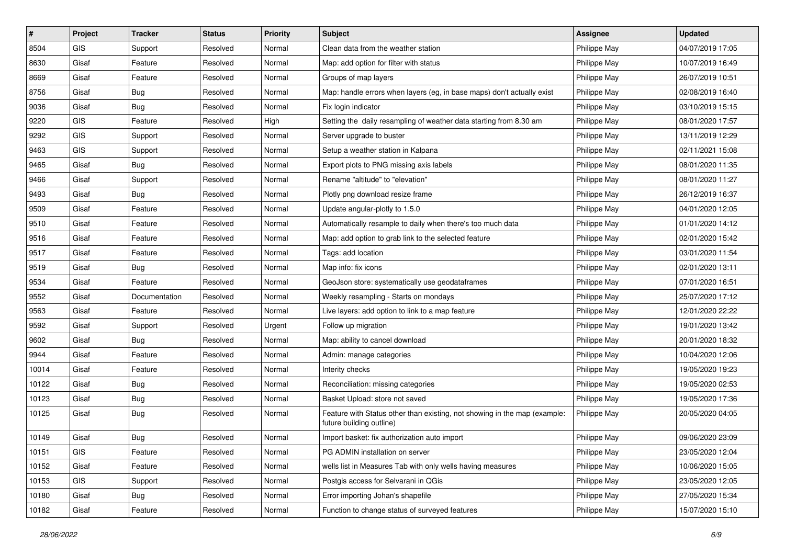| $\sharp$ | Project    | <b>Tracker</b> | <b>Status</b> | <b>Priority</b> | <b>Subject</b>                                                                                        | <b>Assignee</b> | <b>Updated</b>   |
|----------|------------|----------------|---------------|-----------------|-------------------------------------------------------------------------------------------------------|-----------------|------------------|
| 8504     | GIS        | Support        | Resolved      | Normal          | Clean data from the weather station                                                                   | Philippe May    | 04/07/2019 17:05 |
| 8630     | Gisaf      | Feature        | Resolved      | Normal          | Map: add option for filter with status                                                                | Philippe May    | 10/07/2019 16:49 |
| 8669     | Gisaf      | Feature        | Resolved      | Normal          | Groups of map layers                                                                                  | Philippe May    | 26/07/2019 10:51 |
| 8756     | Gisaf      | <b>Bug</b>     | Resolved      | Normal          | Map: handle errors when layers (eg, in base maps) don't actually exist                                | Philippe May    | 02/08/2019 16:40 |
| 9036     | Gisaf      | Bug            | Resolved      | Normal          | Fix login indicator                                                                                   | Philippe May    | 03/10/2019 15:15 |
| 9220     | <b>GIS</b> | Feature        | Resolved      | High            | Setting the daily resampling of weather data starting from 8.30 am                                    | Philippe May    | 08/01/2020 17:57 |
| 9292     | GIS        | Support        | Resolved      | Normal          | Server upgrade to buster                                                                              | Philippe May    | 13/11/2019 12:29 |
| 9463     | <b>GIS</b> | Support        | Resolved      | Normal          | Setup a weather station in Kalpana                                                                    | Philippe May    | 02/11/2021 15:08 |
| 9465     | Gisaf      | <b>Bug</b>     | Resolved      | Normal          | Export plots to PNG missing axis labels                                                               | Philippe May    | 08/01/2020 11:35 |
| 9466     | Gisaf      | Support        | Resolved      | Normal          | Rename "altitude" to "elevation"                                                                      | Philippe May    | 08/01/2020 11:27 |
| 9493     | Gisaf      | <b>Bug</b>     | Resolved      | Normal          | Plotly png download resize frame                                                                      | Philippe May    | 26/12/2019 16:37 |
| 9509     | Gisaf      | Feature        | Resolved      | Normal          | Update angular-plotly to 1.5.0                                                                        | Philippe May    | 04/01/2020 12:05 |
| 9510     | Gisaf      | Feature        | Resolved      | Normal          | Automatically resample to daily when there's too much data                                            | Philippe May    | 01/01/2020 14:12 |
| 9516     | Gisaf      | Feature        | Resolved      | Normal          | Map: add option to grab link to the selected feature                                                  | Philippe May    | 02/01/2020 15:42 |
| 9517     | Gisaf      | Feature        | Resolved      | Normal          | Tags: add location                                                                                    | Philippe May    | 03/01/2020 11:54 |
| 9519     | Gisaf      | <b>Bug</b>     | Resolved      | Normal          | Map info: fix icons                                                                                   | Philippe May    | 02/01/2020 13:11 |
| 9534     | Gisaf      | Feature        | Resolved      | Normal          | GeoJson store: systematically use geodataframes                                                       | Philippe May    | 07/01/2020 16:51 |
| 9552     | Gisaf      | Documentation  | Resolved      | Normal          | Weekly resampling - Starts on mondays                                                                 | Philippe May    | 25/07/2020 17:12 |
| 9563     | Gisaf      | Feature        | Resolved      | Normal          | Live layers: add option to link to a map feature                                                      | Philippe May    | 12/01/2020 22:22 |
| 9592     | Gisaf      | Support        | Resolved      | Urgent          | Follow up migration                                                                                   | Philippe May    | 19/01/2020 13:42 |
| 9602     | Gisaf      | <b>Bug</b>     | Resolved      | Normal          | Map: ability to cancel download                                                                       | Philippe May    | 20/01/2020 18:32 |
| 9944     | Gisaf      | Feature        | Resolved      | Normal          | Admin: manage categories                                                                              | Philippe May    | 10/04/2020 12:06 |
| 10014    | Gisaf      | Feature        | Resolved      | Normal          | Interity checks                                                                                       | Philippe May    | 19/05/2020 19:23 |
| 10122    | Gisaf      | <b>Bug</b>     | Resolved      | Normal          | Reconciliation: missing categories                                                                    | Philippe May    | 19/05/2020 02:53 |
| 10123    | Gisaf      | <b>Bug</b>     | Resolved      | Normal          | Basket Upload: store not saved                                                                        | Philippe May    | 19/05/2020 17:36 |
| 10125    | Gisaf      | <b>Bug</b>     | Resolved      | Normal          | Feature with Status other than existing, not showing in the map (example:<br>future building outline) | Philippe May    | 20/05/2020 04:05 |
| 10149    | Gisaf      | <b>Bug</b>     | Resolved      | Normal          | Import basket: fix authorization auto import                                                          | Philippe May    | 09/06/2020 23:09 |
| 10151    | <b>GIS</b> | Feature        | Resolved      | Normal          | PG ADMIN installation on server                                                                       | Philippe May    | 23/05/2020 12:04 |
| 10152    | Gisaf      | Feature        | Resolved      | Normal          | wells list in Measures Tab with only wells having measures                                            | Philippe May    | 10/06/2020 15:05 |
| 10153    | GIS        | Support        | Resolved      | Normal          | Postgis access for Selvarani in QGis                                                                  | Philippe May    | 23/05/2020 12:05 |
| 10180    | Gisaf      | <b>Bug</b>     | Resolved      | Normal          | Error importing Johan's shapefile                                                                     | Philippe May    | 27/05/2020 15:34 |
| 10182    | Gisaf      | Feature        | Resolved      | Normal          | Function to change status of surveyed features                                                        | Philippe May    | 15/07/2020 15:10 |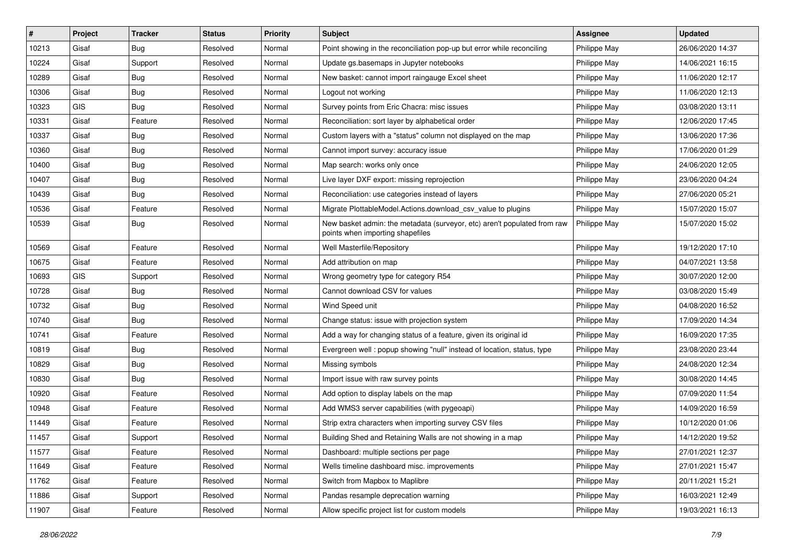| #     | Project | <b>Tracker</b> | <b>Status</b> | <b>Priority</b> | Subject                                                                                                      | Assignee     | <b>Updated</b>   |
|-------|---------|----------------|---------------|-----------------|--------------------------------------------------------------------------------------------------------------|--------------|------------------|
| 10213 | Gisaf   | Bug            | Resolved      | Normal          | Point showing in the reconciliation pop-up but error while reconciling                                       | Philippe May | 26/06/2020 14:37 |
| 10224 | Gisaf   | Support        | Resolved      | Normal          | Update gs.basemaps in Jupyter notebooks                                                                      | Philippe May | 14/06/2021 16:15 |
| 10289 | Gisaf   | Bug            | Resolved      | Normal          | New basket: cannot import raingauge Excel sheet                                                              | Philippe May | 11/06/2020 12:17 |
| 10306 | Gisaf   | Bug            | Resolved      | Normal          | Logout not working                                                                                           | Philippe May | 11/06/2020 12:13 |
| 10323 | GIS     | Bug            | Resolved      | Normal          | Survey points from Eric Chacra: misc issues                                                                  | Philippe May | 03/08/2020 13:11 |
| 10331 | Gisaf   | Feature        | Resolved      | Normal          | Reconciliation: sort layer by alphabetical order                                                             | Philippe May | 12/06/2020 17:45 |
| 10337 | Gisaf   | <b>Bug</b>     | Resolved      | Normal          | Custom layers with a "status" column not displayed on the map                                                | Philippe May | 13/06/2020 17:36 |
| 10360 | Gisaf   | Bug            | Resolved      | Normal          | Cannot import survey: accuracy issue                                                                         | Philippe May | 17/06/2020 01:29 |
| 10400 | Gisaf   | <b>Bug</b>     | Resolved      | Normal          | Map search: works only once                                                                                  | Philippe May | 24/06/2020 12:05 |
| 10407 | Gisaf   | Bug            | Resolved      | Normal          | Live layer DXF export: missing reprojection                                                                  | Philippe May | 23/06/2020 04:24 |
| 10439 | Gisaf   | Bug            | Resolved      | Normal          | Reconciliation: use categories instead of layers                                                             | Philippe May | 27/06/2020 05:21 |
| 10536 | Gisaf   | Feature        | Resolved      | Normal          | Migrate PlottableModel.Actions.download_csv_value to plugins                                                 | Philippe May | 15/07/2020 15:07 |
| 10539 | Gisaf   | Bug            | Resolved      | Normal          | New basket admin: the metadata (surveyor, etc) aren't populated from raw<br>points when importing shapefiles | Philippe May | 15/07/2020 15:02 |
| 10569 | Gisaf   | Feature        | Resolved      | Normal          | Well Masterfile/Repository                                                                                   | Philippe May | 19/12/2020 17:10 |
| 10675 | Gisaf   | Feature        | Resolved      | Normal          | Add attribution on map                                                                                       | Philippe May | 04/07/2021 13:58 |
| 10693 | GIS     | Support        | Resolved      | Normal          | Wrong geometry type for category R54                                                                         | Philippe May | 30/07/2020 12:00 |
| 10728 | Gisaf   | Bug            | Resolved      | Normal          | Cannot download CSV for values                                                                               | Philippe May | 03/08/2020 15:49 |
| 10732 | Gisaf   | <b>Bug</b>     | Resolved      | Normal          | Wind Speed unit                                                                                              | Philippe May | 04/08/2020 16:52 |
| 10740 | Gisaf   | <b>Bug</b>     | Resolved      | Normal          | Change status: issue with projection system                                                                  | Philippe May | 17/09/2020 14:34 |
| 10741 | Gisaf   | Feature        | Resolved      | Normal          | Add a way for changing status of a feature, given its original id                                            | Philippe May | 16/09/2020 17:35 |
| 10819 | Gisaf   | <b>Bug</b>     | Resolved      | Normal          | Evergreen well: popup showing "null" instead of location, status, type                                       | Philippe May | 23/08/2020 23:44 |
| 10829 | Gisaf   | Bug            | Resolved      | Normal          | Missing symbols                                                                                              | Philippe May | 24/08/2020 12:34 |
| 10830 | Gisaf   | Bug            | Resolved      | Normal          | Import issue with raw survey points                                                                          | Philippe May | 30/08/2020 14:45 |
| 10920 | Gisaf   | Feature        | Resolved      | Normal          | Add option to display labels on the map                                                                      | Philippe May | 07/09/2020 11:54 |
| 10948 | Gisaf   | Feature        | Resolved      | Normal          | Add WMS3 server capabilities (with pygeoapi)                                                                 | Philippe May | 14/09/2020 16:59 |
| 11449 | Gisaf   | Feature        | Resolved      | Normal          | Strip extra characters when importing survey CSV files                                                       | Philippe May | 10/12/2020 01:06 |
| 11457 | Gisaf   | Support        | Resolved      | Normal          | Building Shed and Retaining Walls are not showing in a map                                                   | Philippe May | 14/12/2020 19:52 |
| 11577 | Gisaf   | Feature        | Resolved      | Normal          | Dashboard: multiple sections per page                                                                        | Philippe May | 27/01/2021 12:37 |
| 11649 | Gisaf   | Feature        | Resolved      | Normal          | Wells timeline dashboard misc. improvements                                                                  | Philippe May | 27/01/2021 15:47 |
| 11762 | Gisaf   | Feature        | Resolved      | Normal          | Switch from Mapbox to Maplibre                                                                               | Philippe May | 20/11/2021 15:21 |
| 11886 | Gisaf   | Support        | Resolved      | Normal          | Pandas resample deprecation warning                                                                          | Philippe May | 16/03/2021 12:49 |
| 11907 | Gisaf   | Feature        | Resolved      | Normal          | Allow specific project list for custom models                                                                | Philippe May | 19/03/2021 16:13 |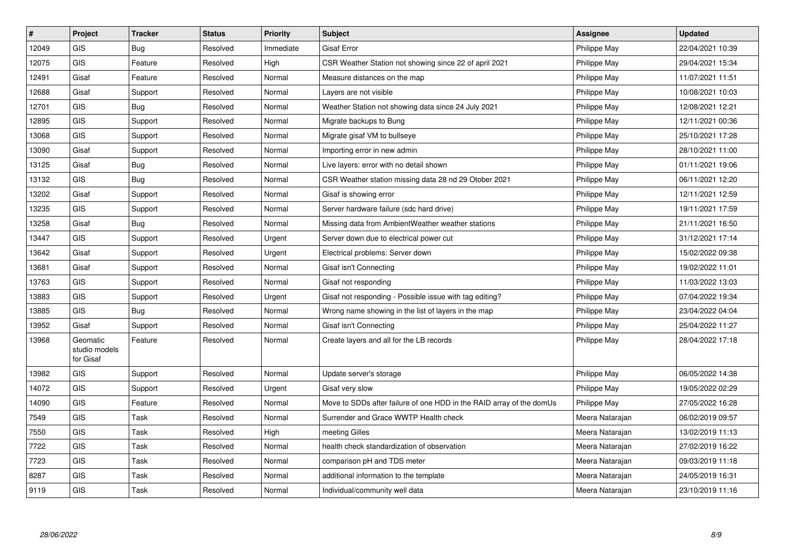| #     | Project                                | <b>Tracker</b> | <b>Status</b> | <b>Priority</b> | <b>Subject</b>                                                       | <b>Assignee</b> | <b>Updated</b>   |
|-------|----------------------------------------|----------------|---------------|-----------------|----------------------------------------------------------------------|-----------------|------------------|
| 12049 | GIS                                    | Bug            | Resolved      | Immediate       | <b>Gisaf Error</b>                                                   | Philippe May    | 22/04/2021 10:39 |
| 12075 | <b>GIS</b>                             | Feature        | Resolved      | High            | CSR Weather Station not showing since 22 of april 2021               | Philippe May    | 29/04/2021 15:34 |
| 12491 | Gisaf                                  | Feature        | Resolved      | Normal          | Measure distances on the map                                         | Philippe May    | 11/07/2021 11:51 |
| 12688 | Gisaf                                  | Support        | Resolved      | Normal          | Layers are not visible                                               | Philippe May    | 10/08/2021 10:03 |
| 12701 | <b>GIS</b>                             | Bug            | Resolved      | Normal          | Weather Station not showing data since 24 July 2021                  | Philippe May    | 12/08/2021 12:21 |
| 12895 | <b>GIS</b>                             | Support        | Resolved      | Normal          | Migrate backups to Bung                                              | Philippe May    | 12/11/2021 00:36 |
| 13068 | <b>GIS</b>                             | Support        | Resolved      | Normal          | Migrate gisaf VM to bullseye                                         | Philippe May    | 25/10/2021 17:28 |
| 13090 | Gisaf                                  | Support        | Resolved      | Normal          | Importing error in new admin                                         | Philippe May    | 28/10/2021 11:00 |
| 13125 | Gisaf                                  | <b>Bug</b>     | Resolved      | Normal          | Live layers: error with no detail shown                              | Philippe May    | 01/11/2021 19:06 |
| 13132 | <b>GIS</b>                             | <b>Bug</b>     | Resolved      | Normal          | CSR Weather station missing data 28 nd 29 Otober 2021                | Philippe May    | 06/11/2021 12:20 |
| 13202 | Gisaf                                  | Support        | Resolved      | Normal          | Gisaf is showing error                                               | Philippe May    | 12/11/2021 12:59 |
| 13235 | <b>GIS</b>                             | Support        | Resolved      | Normal          | Server hardware failure (sdc hard drive)                             | Philippe May    | 19/11/2021 17:59 |
| 13258 | Gisaf                                  | Bug            | Resolved      | Normal          | Missing data from AmbientWeather weather stations                    | Philippe May    | 21/11/2021 16:50 |
| 13447 | <b>GIS</b>                             | Support        | Resolved      | Urgent          | Server down due to electrical power cut                              | Philippe May    | 31/12/2021 17:14 |
| 13642 | Gisaf                                  | Support        | Resolved      | Urgent          | Electrical problems: Server down                                     | Philippe May    | 15/02/2022 09:38 |
| 13681 | Gisaf                                  | Support        | Resolved      | Normal          | Gisaf isn't Connecting                                               | Philippe May    | 19/02/2022 11:01 |
| 13763 | <b>GIS</b>                             | Support        | Resolved      | Normal          | Gisaf not responding                                                 | Philippe May    | 11/03/2022 13:03 |
| 13883 | <b>GIS</b>                             | Support        | Resolved      | Urgent          | Gisaf not responding - Possible issue with tag editing?              | Philippe May    | 07/04/2022 19:34 |
| 13885 | <b>GIS</b>                             | Bug            | Resolved      | Normal          | Wrong name showing in the list of layers in the map                  | Philippe May    | 23/04/2022 04:04 |
| 13952 | Gisaf                                  | Support        | Resolved      | Normal          | Gisaf isn't Connecting                                               | Philippe May    | 25/04/2022 11:27 |
| 13968 | Geomatic<br>studio models<br>for Gisaf | Feature        | Resolved      | Normal          | Create layers and all for the LB records                             | Philippe May    | 28/04/2022 17:18 |
| 13982 | <b>GIS</b>                             | Support        | Resolved      | Normal          | Update server's storage                                              | Philippe May    | 06/05/2022 14:38 |
| 14072 | <b>GIS</b>                             | Support        | Resolved      | Urgent          | Gisaf very slow                                                      | Philippe May    | 19/05/2022 02:29 |
| 14090 | <b>GIS</b>                             | Feature        | Resolved      | Normal          | Move to SDDs after failure of one HDD in the RAID array of the domUs | Philippe May    | 27/05/2022 16:28 |
| 7549  | GIS                                    | Task           | Resolved      | Normal          | Surrender and Grace WWTP Health check                                | Meera Natarajan | 06/02/2019 09:57 |
| 7550  | <b>GIS</b>                             | Task           | Resolved      | High            | meeting Gilles                                                       | Meera Natarajan | 13/02/2019 11:13 |
| 7722  | <b>GIS</b>                             | Task           | Resolved      | Normal          | health check standardization of observation                          | Meera Natarajan | 27/02/2019 16:22 |
| 7723  | <b>GIS</b>                             | Task           | Resolved      | Normal          | comparison pH and TDS meter                                          | Meera Natarajan | 09/03/2019 11:18 |
| 8287  | <b>GIS</b>                             | Task           | Resolved      | Normal          | additional information to the template                               | Meera Natarajan | 24/05/2019 16:31 |
| 9119  | GIS                                    | Task           | Resolved      | Normal          | Individual/community well data                                       | Meera Natarajan | 23/10/2019 11:16 |